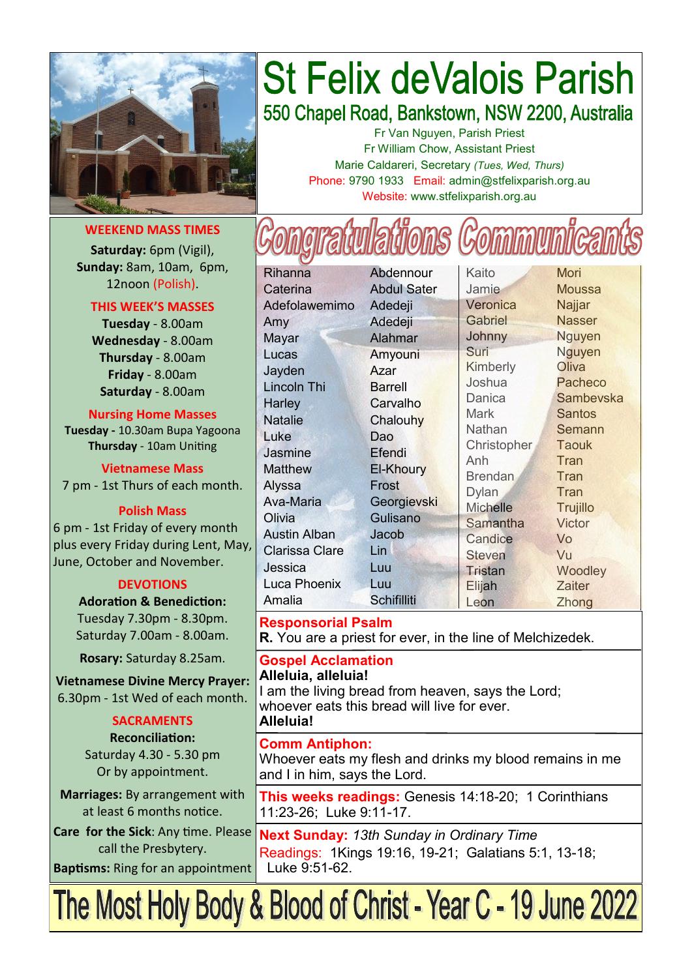

#### **WEEKEND MASS TIMES**

**Saturday:** 6pm (Vigil), **Sunday:** 8am, 10am, 6pm, 12noon (Polish).

#### **THIS WEEK'S MASSES**

**Tuesday** - 8.00am **Wednesday** - 8.00am **Thursday** - 8.00am **Friday** - 8.00am **Saturday** - 8.00am

**Nursing Home Masses Tuesday -** 10.30am Bupa Yagoona **Thursday** - 10am Uniting

**Vietnamese Mass** 7 pm - 1st Thurs of each month.

**Polish Mass**

6 pm - 1st Friday of every month plus every Friday during Lent, May, June, October and November.

#### **DEVOTIONS**

**Adoration & Benediction:**  Tuesday 7.30pm - 8.30pm. Saturday 7.00am - 8.00am.

**Rosary:** Saturday 8.25am.

**Vietnamese Divine Mercy Prayer:** 6.30pm - 1st Wed of each month.

#### **SACRAMENTS**

**Reconciliation:**  Saturday 4.30 - 5.30 pm Or by appointment.

**Marriages:** By arrangement with at least 6 months notice.

**Care for the Sick**: Any time. Please call the Presbytery.

**Baptisms:** Ring for an appointment

# **St Felix deValois Parish**

550 Chapel Road, Bankstown, NSW 2200, Australia

Fr Van Nguyen, Parish Priest Fr William Chow, Assistant Priest Marie Caldareri, Secretary *(Tues, Wed, Thurs)* Phone: 9790 1933 Email: admin@stfelixparish.org.au Website: www.stfelixparish.org.au

Caterina Abdul Sater Adefolawemimo Adedeji Amy Adedeji Mayar Alahmar Lucas Amyouni Jayden Azar Lincoln Thi **Barrell** Harley Carvalho Natalie Chalouhy Luke Dao Jasmine Efendi Matthew El-Khoury Alyssa Frost Ava-Maria Georgievski Olivia Gulisano Austin Alban Jacob Clarissa Clare Lin Jessica Luu Luca Phoenix Luu Amalia Schifilliti

Rihanna Abdennour

Kaito Mori Jamie Moussa Veronica Najjar Gabriel Nasser Johnny Nguyen Suri Nguyen Kimberly Oliva Joshua Pacheco Mark Santos Nathan Semann Christopher Taouk Anh Tran Brendan Tran Dylan Tran Michelle Trujillo Samantha Victor Candice Vo Steven Vu Tristan Woodley Elijah Zaiter

Danica Sambeyska Leon **Zhong** 

**Responsorial Psalm R.** You are a priest for ever, in the line of Melchizedek.

**Gospel Acclamation Alleluia, alleluia!** I am the living bread from heaven, says the Lord; whoever eats this bread will live for ever. **Alleluia!**

#### **Comm Antiphon:**

Whoever eats my flesh and drinks my blood remains in me and I in him, says the Lord.

**This weeks readings:** Genesis 14:18-20; 1 Corinthians 11:23-26; Luke 9:11-17.

**Next Sunday:** *13th Sunday in Ordinary Time* Readings: 1Kings 19:16, 19-21; Galatians 5:1, 13-18; Luke 9:51-62.

The Most Holy Body & Blood of Christ - Year C - 19 June 2022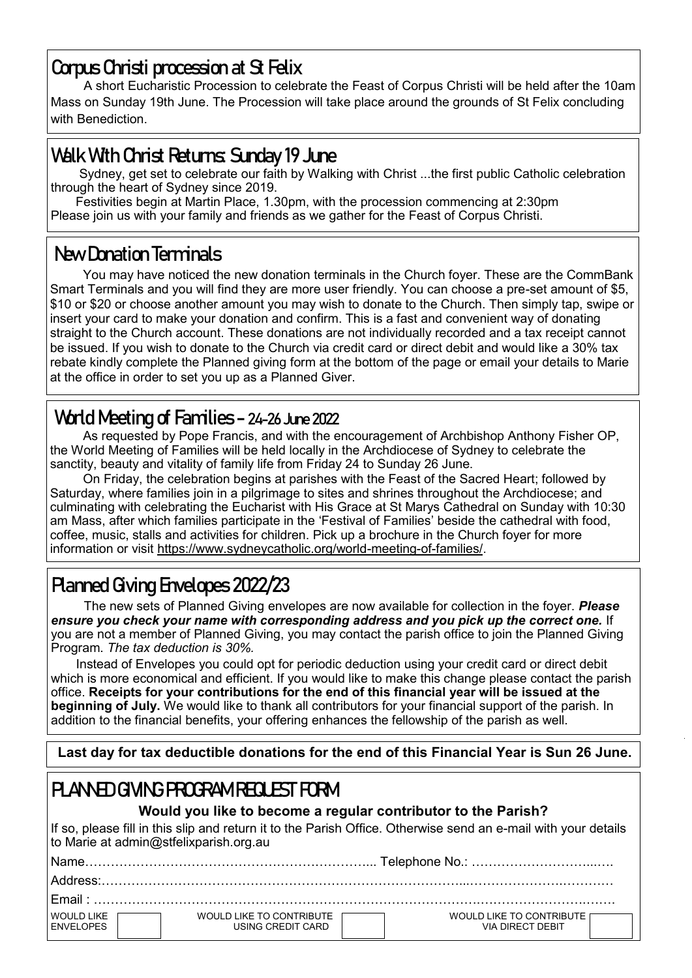## **Corpus Christi procession at St Felix**

A short Eucharistic Procession to celebrate the Feast of Corpus Christi will be held after the 10am Mass on Sunday 19th June. The Procession will take place around the grounds of St Felix concluding with Benediction.

# **Walk With Christ Returns: Sunday 19 June**

 Sydney, get set to celebrate our faith by Walking with Christ ...the first public Catholic celebration through the heart of Sydney since 2019.

 Festivities begin at Martin Place, 1.30pm, with the procession commencing at 2:30pm Please join us with your family and friends as we gather for the Feast of Corpus Christi.

# **New Donation Terminals**

You may have noticed the new donation terminals in the Church foyer. These are the CommBank Smart Terminals and you will find they are more user friendly. You can choose a pre-set amount of \$5, \$10 or \$20 or choose another amount you may wish to donate to the Church. Then simply tap, swipe or insert your card to make your donation and confirm. This is a fast and convenient way of donating straight to the Church account. These donations are not individually recorded and a tax receipt cannot be issued. If you wish to donate to the Church via credit card or direct debit and would like a 30% tax rebate kindly complete the Planned giving form at the bottom of the page or email your details to Marie at the office in order to set you up as a Planned Giver.

# **World Meeting of Families - 24-26 June 2022**

As requested by Pope Francis, and with the encouragement of Archbishop Anthony Fisher OP, the World Meeting of Families will be held locally in the Archdiocese of Sydney to celebrate the sanctity, beauty and vitality of family life from Friday 24 to Sunday 26 June.

On Friday, the celebration begins at parishes with the Feast of the Sacred Heart; followed by Saturday, where families join in a pilgrimage to sites and shrines throughout the Archdiocese; and culminating with celebrating the Eucharist with His Grace at St Marys Cathedral on Sunday with 10:30 am Mass, after which families participate in the 'Festival of Families' beside the cathedral with food, coffee, music, stalls and activities for children. Pick up a brochure in the Church foyer for more information or visit [https://www.sydneycatholic.org/world](https://comms.sydneycatholic.org/ch/75218/bqqn7/2219776/MOk1Bl8dJmwP37tnjXon9JuugHhffuKAs5lO9sHZ.html)-meeting-of-families/.

# **Planned Giving Envelopes 2022/23**

The new sets of Planned Giving envelopes are now available for collection in the foyer. *Please ensure you check your name with corresponding address and you pick up the correct one.* If you are not a member of Planned Giving, you may contact the parish office to join the Planned Giving Program. *The tax deduction is 30%.* 

 Instead of Envelopes you could opt for periodic deduction using your credit card or direct debit which is more economical and efficient. If you would like to make this change please contact the parish office. **Receipts for your contributions for the end of this financial year will be issued at the beginning of July.** We would like to thank all contributors for your financial support of the parish. In addition to the financial benefits, your offering enhances the fellowship of the parish as well.

 **Last day for tax deductible donations for the end of this Financial Year is Sun 26 June.**

# **PLANNED GIVING PROGRAM REQUEST FORM**

#### **Would you like to become a regular contributor to the Parish?**

If so, please fill in this slip and return it to the Parish Office. Otherwise send an e-mail with your details to Marie at admin@stfelixparish.org.au

| $F$ mail $\cdot$               |                                               |                                                 |  |  |  |
|--------------------------------|-----------------------------------------------|-------------------------------------------------|--|--|--|
| WOULD LIKE<br><b>ENVELOPES</b> | WOULD LIKE TO CONTRIBUTE<br>USING CREDIT CARD | WOULD LIKE TO CONTRIBUTE IT<br>VIA DIRFCT DFBIT |  |  |  |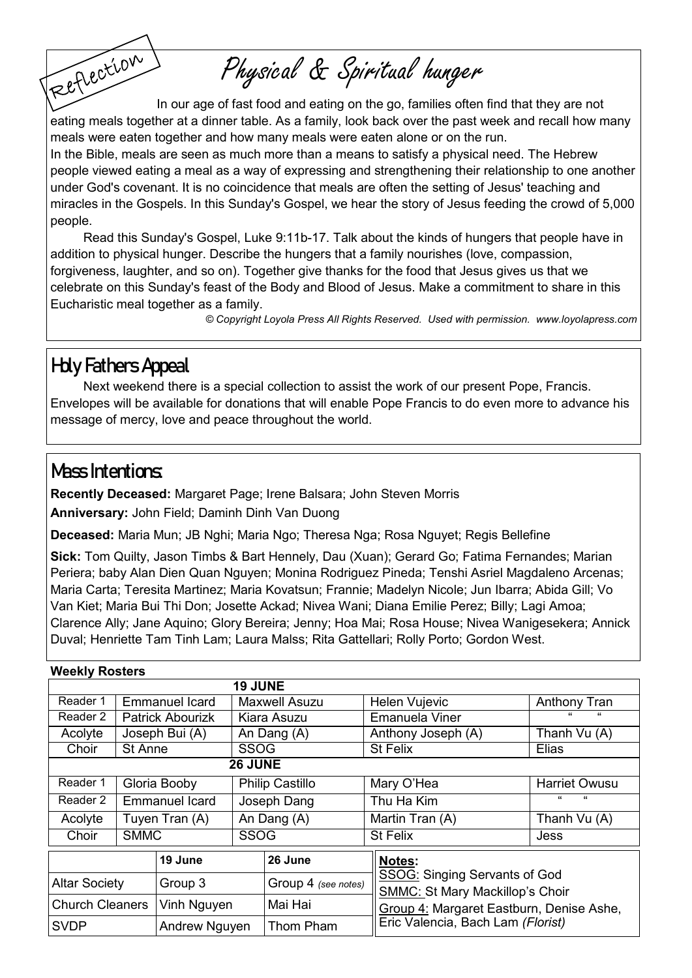Physical & Spiritual hunger

Reflection In our age of fast food and eating on the go, families often find that they are not eating meals together at a dinner table. As a family, look back over the past week and recall how many meals were eaten together and how many meals were eaten alone or on the run.

In the Bible, meals are seen as much more than a means to satisfy a physical need. The Hebrew people viewed eating a meal as a way of expressing and strengthening their relationship to one another under God's covenant. It is no coincidence that meals are often the setting of Jesus' teaching and miracles in the Gospels. In this Sunday's Gospel, we hear the story of Jesus feeding the crowd of 5,000 people.

Read this Sunday's Gospel, Luke 9:11b-17. Talk about the kinds of hungers that people have in addition to physical hunger. Describe the hungers that a family nourishes (love, compassion, forgiveness, laughter, and so on). Together give thanks for the food that Jesus gives us that we celebrate on this Sunday's feast of the Body and Blood of Jesus. Make a commitment to share in this Eucharistic meal together as a family.

*© Copyright Loyola Press All Rights Reserved. Used with permission. [www.loyolapress.com](http://www.loyolapress.com)*

# **Holy Fathers Appeal**

Next weekend there is a special collection to assist the work of our present Pope, Francis. Envelopes will be available for donations that will enable Pope Francis to do even more to advance his message of mercy, love and peace throughout the world.

### **Mass Intentions:**

**Recently Deceased:** Margaret Page; Irene Balsara; John Steven Morris

**Anniversary:** John Field; Daminh Dinh Van Duong

**Deceased:** Maria Mun; JB Nghi; Maria Ngo; Theresa Nga; Rosa Nguyet; Regis Bellefine

**Sick:** Tom Quilty, Jason Timbs & Bart Hennely, Dau (Xuan); Gerard Go; Fatima Fernandes; Marian Periera; baby Alan Dien Quan Nguyen; Monina Rodriguez Pineda; Tenshi Asriel Magdaleno Arcenas; Maria Carta; Teresita Martinez; Maria Kovatsun; Frannie; Madelyn Nicole; Jun Ibarra; Abida Gill; Vo Van Kiet; Maria Bui Thi Don; Josette Ackad; Nivea Wani; Diana Emilie Perez; Billy; Lagi Amoa; Clarence Ally; Jane Aquino; Glory Bereira; Jenny; Hoa Mai; Rosa House; Nivea Wanigesekera; Annick Duval; Henriette Tam Tinh Lam; Laura Malss; Rita Gattellari; Rolly Porto; Gordon West.

| <b>Weekly Rosters</b>  |                |                         |                        |                     |  |                                                                                |                      |  |  |  |  |
|------------------------|----------------|-------------------------|------------------------|---------------------|--|--------------------------------------------------------------------------------|----------------------|--|--|--|--|
| <b>19 JUNE</b>         |                |                         |                        |                     |  |                                                                                |                      |  |  |  |  |
| Reader 1               |                | <b>Emmanuel Icard</b>   | <b>Maxwell Asuzu</b>   |                     |  | Helen Vujevic                                                                  | Anthony Tran         |  |  |  |  |
| Reader 2               |                | <b>Patrick Abourizk</b> | Kiara Asuzu            |                     |  | Emanuela Viner                                                                 | $\epsilon$<br>"      |  |  |  |  |
| Acolyte                |                | Joseph Bui (A)          | An Dang (A)            |                     |  | Anthony Joseph (A)                                                             | Thanh Vu (A)         |  |  |  |  |
| Choir                  | <b>St Anne</b> |                         | <b>SSOG</b>            |                     |  | <b>St Felix</b>                                                                | Elias                |  |  |  |  |
| 26 JUNE                |                |                         |                        |                     |  |                                                                                |                      |  |  |  |  |
| Reader 1               | Gloria Booby   |                         | <b>Philip Castillo</b> |                     |  | Mary O'Hea                                                                     | <b>Harriet Owusu</b> |  |  |  |  |
| Reader 2               |                | <b>Emmanuel Icard</b>   |                        | Joseph Dang         |  | Thu Ha Kim                                                                     | "<br>"               |  |  |  |  |
| Acolyte                | Tuyen Tran (A) |                         | An Dang (A)            |                     |  | Martin Tran (A)                                                                | Thanh Vu (A)         |  |  |  |  |
| Choir                  | <b>SMMC</b>    |                         | <b>SSOG</b>            |                     |  | St Felix                                                                       | Jess                 |  |  |  |  |
| 19 June                |                |                         |                        | 26 June             |  | Notes:                                                                         |                      |  |  |  |  |
| <b>Altar Society</b>   |                | Group 3                 |                        | Group 4 (see notes) |  | <b>SSOG: Singing Servants of God</b><br><b>SMMC: St Mary Mackillop's Choir</b> |                      |  |  |  |  |
| <b>Church Cleaners</b> |                | Vinh Nguyen             |                        | Mai Hai             |  | Group 4: Margaret Eastburn, Denise Ashe,                                       |                      |  |  |  |  |
| <b>SVDP</b>            |                | Andrew Nguyen           |                        | Thom Pham           |  | Eric Valencia, Bach Lam (Florist)                                              |                      |  |  |  |  |